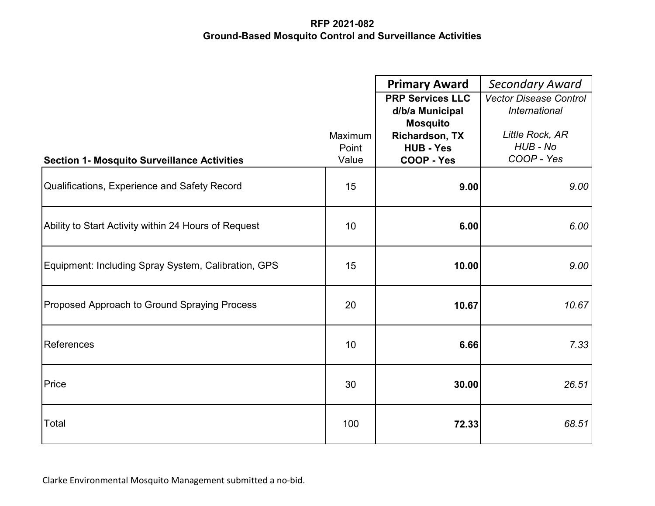|                                                      |                           | <b>Primary Award</b><br><b>PRP Services LLC</b><br>d/b/a Municipal<br><b>Mosquito</b> | <b>Secondary Award</b><br>Vector Disease Control<br><b>International</b> |
|------------------------------------------------------|---------------------------|---------------------------------------------------------------------------------------|--------------------------------------------------------------------------|
| <b>Section 1- Mosquito Surveillance Activities</b>   | Maximum<br>Point<br>Value | <b>Richardson, TX</b><br><b>HUB - Yes</b><br>COOP - Yes                               | Little Rock, AR<br>HUB - No<br>COOP - Yes                                |
| Qualifications, Experience and Safety Record         | 15                        | 9.00                                                                                  | 9.00                                                                     |
| Ability to Start Activity within 24 Hours of Request | 10                        | 6.00                                                                                  | 6.00                                                                     |
| Equipment: Including Spray System, Calibration, GPS  | 15                        | 10.00                                                                                 | 9.00                                                                     |
| Proposed Approach to Ground Spraying Process         | 20                        | 10.67                                                                                 | 10.67                                                                    |
| References                                           | 10                        | 6.66                                                                                  | 7.33                                                                     |
| Price                                                | 30                        | 30.00                                                                                 | 26.51                                                                    |
| Total                                                | 100                       | 72.33                                                                                 | 68.51                                                                    |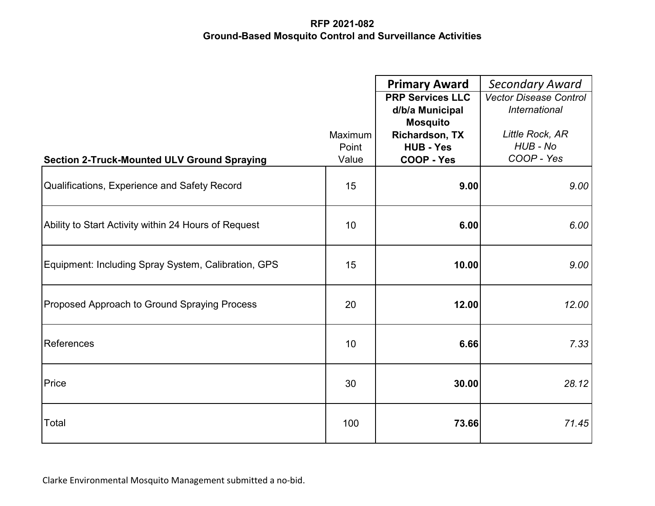|                                                      |         | <b>Primary Award</b>    | <b>Secondary Award</b>        |
|------------------------------------------------------|---------|-------------------------|-------------------------------|
|                                                      |         | <b>PRP Services LLC</b> | <b>Vector Disease Control</b> |
|                                                      |         | d/b/a Municipal         | <b>International</b>          |
|                                                      |         | <b>Mosquito</b>         |                               |
|                                                      | Maximum | <b>Richardson, TX</b>   | Little Rock, AR               |
|                                                      | Point   | <b>HUB - Yes</b>        | HUB - No                      |
| <b>Section 2-Truck-Mounted ULV Ground Spraying</b>   | Value   | <b>COOP - Yes</b>       | COOP - Yes                    |
| Qualifications, Experience and Safety Record         | 15      | 9.00                    | 9.00                          |
| Ability to Start Activity within 24 Hours of Request | 10      | 6.00                    | 6.00                          |
| Equipment: Including Spray System, Calibration, GPS  | 15      | 10.00                   | 9.00                          |
| Proposed Approach to Ground Spraying Process         | 20      | 12.00                   | 12.00                         |
| References                                           | 10      | 6.66                    | 7.33                          |
| Price                                                | 30      | 30.00                   | 28.12                         |
| Total                                                | 100     | 73.66                   | 71.45                         |

Clarke Environmental Mosquito Management submitted a no-bid.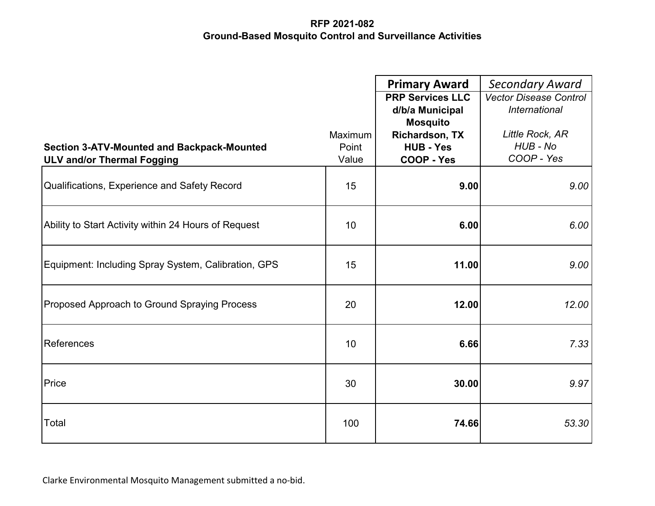|                                                                                        |                | <b>Primary Award</b><br><b>PRP Services LLC</b> | <b>Secondary Award</b><br><b>Vector Disease Control</b> |
|----------------------------------------------------------------------------------------|----------------|-------------------------------------------------|---------------------------------------------------------|
|                                                                                        |                | d/b/a Municipal                                 | International                                           |
|                                                                                        |                | <b>Mosquito</b>                                 |                                                         |
|                                                                                        | Maximum        | <b>Richardson, TX</b>                           | Little Rock, AR<br>HUB - No                             |
| <b>Section 3-ATV-Mounted and Backpack-Mounted</b><br><b>ULV and/or Thermal Fogging</b> | Point<br>Value | <b>HUB - Yes</b><br><b>COOP - Yes</b>           | COOP - Yes                                              |
|                                                                                        |                |                                                 |                                                         |
| Qualifications, Experience and Safety Record                                           | 15             | 9.00                                            | 9.00                                                    |
| Ability to Start Activity within 24 Hours of Request                                   | 10             | 6.00                                            | 6.00                                                    |
| Equipment: Including Spray System, Calibration, GPS                                    | 15             | 11.00                                           | 9.00                                                    |
| Proposed Approach to Ground Spraying Process                                           | 20             | 12.00                                           | 12.00                                                   |
| References                                                                             | 10             | 6.66                                            | 7.33                                                    |
| Price                                                                                  | 30             | 30.00                                           | 9.97                                                    |
| Total                                                                                  | 100            | 74.66                                           | 53.30                                                   |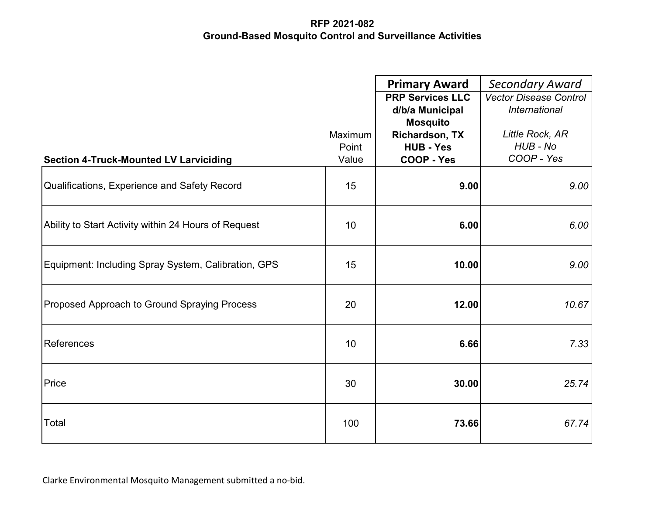|                                                      |         | <b>Primary Award</b>    | <b>Secondary Award</b>        |
|------------------------------------------------------|---------|-------------------------|-------------------------------|
|                                                      |         | <b>PRP Services LLC</b> | <b>Vector Disease Control</b> |
|                                                      |         | d/b/a Municipal         | <b>International</b>          |
|                                                      |         | <b>Mosquito</b>         |                               |
|                                                      | Maximum | <b>Richardson, TX</b>   | Little Rock, AR<br>HUB - No   |
|                                                      | Point   | <b>HUB - Yes</b>        | COOP - Yes                    |
| <b>Section 4-Truck-Mounted LV Larviciding</b>        | Value   | COOP - Yes              |                               |
| Qualifications, Experience and Safety Record         | 15      | 9.00                    | 9.00                          |
| Ability to Start Activity within 24 Hours of Request | 10      | 6.00                    | 6.00                          |
| Equipment: Including Spray System, Calibration, GPS  | 15      | 10.00                   | 9.00                          |
| Proposed Approach to Ground Spraying Process         | 20      | 12.00                   | 10.67                         |
| References                                           | 10      | 6.66                    | 7.33                          |
| Price                                                | 30      | 30.00                   | 25.74                         |
| Total                                                | 100     | 73.66                   | 67.74                         |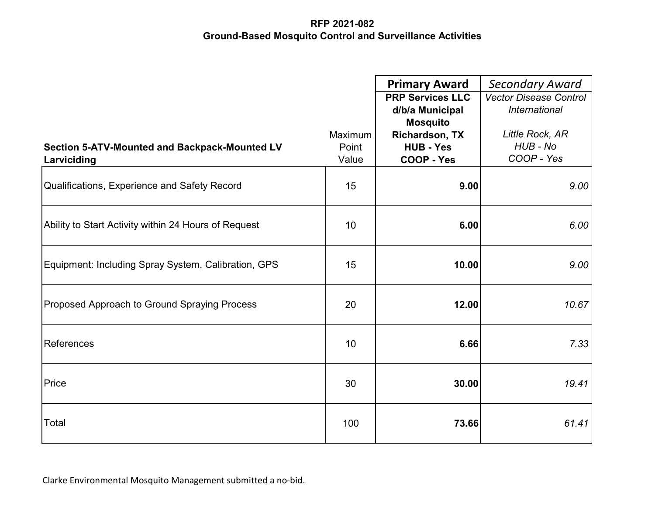|                                                      |         | <b>Primary Award</b>    | <b>Secondary Award</b>        |
|------------------------------------------------------|---------|-------------------------|-------------------------------|
|                                                      |         | <b>PRP Services LLC</b> | <b>Vector Disease Control</b> |
|                                                      |         | d/b/a Municipal         | International                 |
|                                                      |         | <b>Mosquito</b>         |                               |
|                                                      | Maximum | <b>Richardson, TX</b>   | Little Rock, AR               |
| Section 5-ATV-Mounted and Backpack-Mounted LV        | Point   | <b>HUB - Yes</b>        | HUB - No                      |
| Larviciding                                          | Value   | <b>COOP - Yes</b>       | COOP - Yes                    |
| Qualifications, Experience and Safety Record         | 15      | 9.00                    | 9.00                          |
| Ability to Start Activity within 24 Hours of Request | 10      | 6.00                    | 6.00                          |
| Equipment: Including Spray System, Calibration, GPS  | 15      | 10.00                   | 9.00                          |
| Proposed Approach to Ground Spraying Process         | 20      | 12.00                   | 10.67                         |
| References                                           | 10      | 6.66                    | 7.33                          |
| Price                                                | 30      | 30.00                   | 19.41                         |
| Total                                                | 100     | 73.66                   | 61.41                         |

Clarke Environmental Mosquito Management submitted a no-bid.